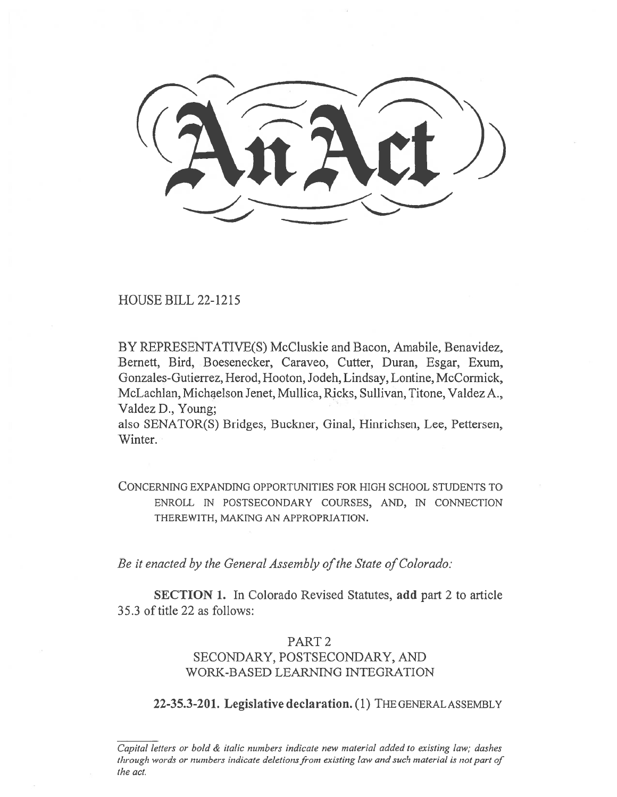HOUSE BILL 22-1215

BY REPRESENTATIVE(S) McCluskie and Bacon, Amabile, Benavidez, Bernett, Bird, Boesenecker, Caraveo, Cutter, Duran, Esgar, Exum, Gonzales-Gutierrez, Herod, Hooton, Jodeh, Lindsay, Lontine, McCormick, McLachlan, Michaelson Jenet, Mullica, Ricks, Sullivan, Titone, Valdez A., Valdez D., Young;

also SENATOR(S) Bridges, Buckner, Ginal, Hinrichsen, Lee, Pettersen, Winter.

CONCERNING EXPANDING OPPORTUNITIES FOR HIGH SCHOOL STUDENTS TO ENROLL IN POSTSECONDARY COURSES, AND, IN CONNECTION THEREWITH, MAKING AN APPROPRIATION.

Be it enacted by the General Assembly of the State of Colorado:

SECTION 1. In Colorado Revised Statutes, add part 2 to article 35.3 of title 22 as follows:

# PART 2

# SECONDARY, POSTSECONDARY, AND WORK-BASED LEARNING INTEGRATION

22-35.3-201. Legislative declaration. (1) THE GENERAL ASSEMBLY

Capital letters or bold & italic numbers indicate new material added to existing law; dashes through words or numbers indicate deletions from existing law and such material is not part of the act.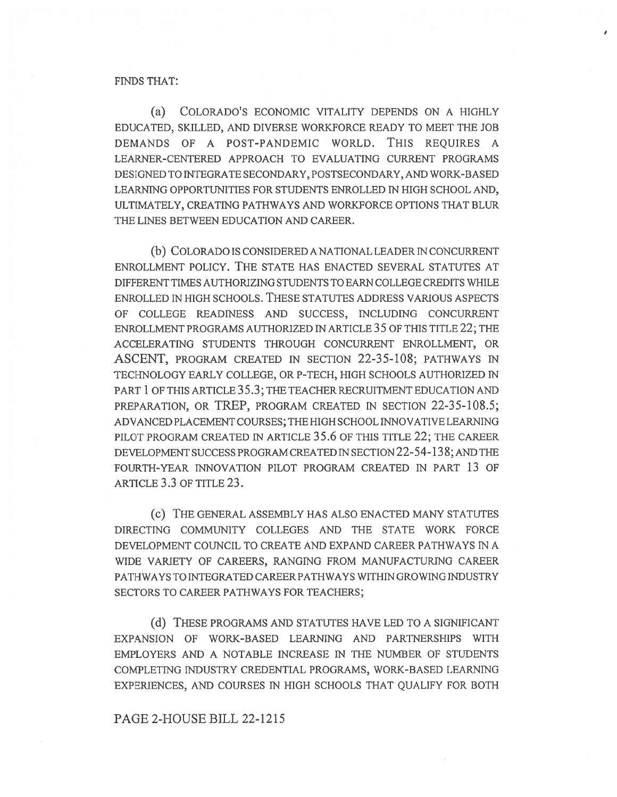#### FINDS THAT:

(a) COLORADO'S ECONOMIC VITALITY DEPENDS ON A HIGHLY EDUCATED, SKILLED, AND DIVERSE WORKFORCE READY TO MEET THE JOB DEMANDS OF A POST-PANDEMIC WORLD. THIS REQUIRES A LEARNER-CENTERED APPROACH TO EVALUATING CURRENT PROGRAMS DESIGNED TO INTEGRATE SECONDARY, POSTSECONDARY, AND WORK-BASED LEARNING OPPORTUNITIES FOR STUDENTS ENROLLED IN HIGH SCHOOL AND, ULTIMATELY, CREATING PATHWAYS AND WORKFORCE OPTIONS THAT BLUR THE LINES BETWEEN EDUCATION AND CAREER.

(b) COLORADO IS CONSIDERED A NATIONAL LEADER IN CONCURRENT ENROLLMENT POLICY. THE STATE HAS ENACTED SEVERAL STATUTES AT DIFFERENT TIMES AUTHORIZING STUDENTS TO EARN COLLEGE CREDITS WHILE ENROLLED IN HIGH SCHOOLS. THESE STATUTES ADDRESS VARIOUS ASPECTS OF COLLEGE READINESS AND SUCCESS, INCLUDING CONCURRENT ENROLLMENT PROGRAMS AUTHORIZED IN ARTICLE 35 OF THIS TITLE 22; THE ACCELERATING STUDENTS THROUGH CONCURRENT ENROLLMENT, OR ASCENT, PROGRAM CREATED IN SECTION 22-35-108; PATHWAYS IN TECHNOLOGY EARLY COLLEGE, OR P-TECH, HIGH SCHOOLS AUTHORIZED IN PART 1 OF THIS ARTICLE 35.3; THE TEACHER RECRUITMENT EDUCATION AND PREPARATION, OR TREP, PROGRAM CREATED IN SECTION 22-35-108.5; ADVANCED PLACEMENT COURSES; THE HIGH SCHOOL INNOVATIVE LEARNING PILOT PROGRAM CREATED IN ARTICLE 35.6 OF THIS TITLE 22; THE CAREER DEVELOPMENT SUCCESS PROGRAM CREATED IN SECTION 22-54-138; AND THE FOURTH-YEAR INNOVATION PILOT PROGRAM CREATED IN PART 13 OF ARTICLE 3.3 OF TITLE 23.

(c) THE GENERAL ASSEMBLY HAS ALSO ENACTED MANY STATUTES DIRECTING COMMUNITY COLLEGES AND THE STATE WORK FORCE DEVELOPMENT COUNCIL TO CREATE AND EXPAND CAREER PATHWAYS IN A WIDE VARIETY OF CAREERS, RANGING FROM MANUFACTURING CAREER PATHWAYS TO INTEGRATED CAREER PATHWAYS WITHIN GROWING INDUSTRY SECTORS TO CAREER PATHWAYS FOR TEACHERS;

(d) THESE PROGRAMS AND STATUTES HAVE LED TO A SIGNIFICANT EXPANSION OF WORK-BASED LEARNING AND PARTNERSHIPS WITH EMPLOYERS AND A NOTABLE INCREASE IN THE NUMBER OF STUDENTS COMPLETING INDUSTRY CREDENTIAL PROGRAMS, WORK-BASED LEARNING EXPERIENCES, AND COURSES IN HIGH SCHOOLS THAT QUALIFY FOR BOTH

## PAGE 2-HOUSE BILL 22-1215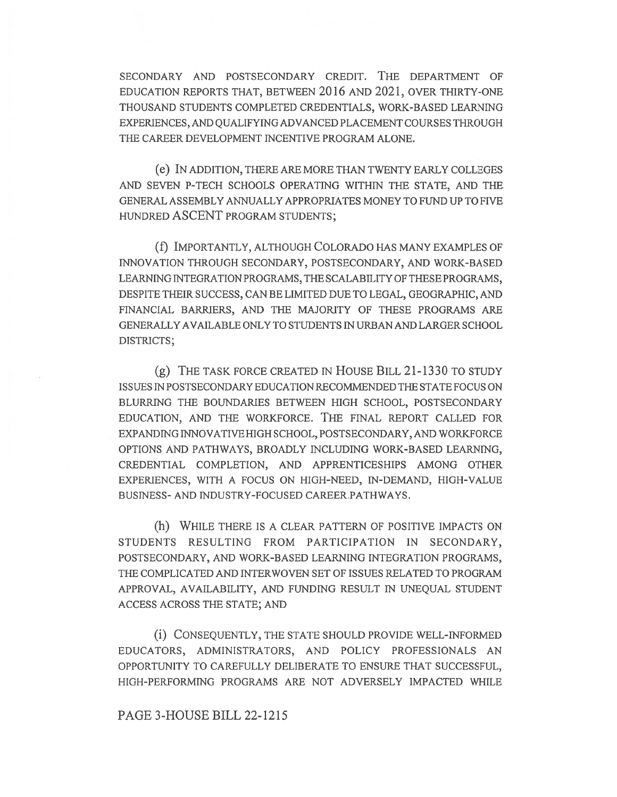SECONDARY AND POSTSECONDARY CREDIT. THE DEPARTMENT OF EDUCATION REPORTS THAT, BETWEEN 2016 AND 2021, OVER THIRTY-ONE THOUSAND STUDENTS COMPLETED CREDENTIALS, WORK-BASED LEARNING EXPERIENCES, AND QUALIFYING ADVANCED PLACEMENT COURSES THROUGH THE CAREER DEVELOPMENT INCENTIVE PROGRAM ALONE.

(e) IN ADDITION, THERE ARE MORE THAN TWENTY EARLY COLLEGES AND SEVEN P-TECH SCHOOLS OPERATING WITHIN THE STATE, AND THE GENERAL ASSEMBLY ANNUALLY APPROPRIATES MONEY TO FUND UP TO FIVE HUNDRED ASCENT PROGRAM STUDENTS;

(f) IMPORTANTLY, ALTHOUGH COLORADO HAS MANY EXAMPLES OF INNOVATION THROUGH SECONDARY, POSTSECONDARY, AND WORK-BASED LEARNING INTEGRATION PROGRAMS, THE SCALABILITY OF THESE PROGRAMS, DESPITE THEIR SUCCESS, CAN BE LIMITED DUE TO LEGAL, GEOGRAPHIC, AND FINANCIAL BARRIERS, AND THE MAJORITY OF THESE PROGRAMS ARE GENERALLY AVAILABLE ONLY TO STUDENTS IN URBAN AND LARGER SCHOOL DISTRICTS;

(g) THE TASK FORCE CREATED IN HOUSE BILL 21-1330 TO STUDY ISSUES IN POSTSECONDARY EDUCATION RECOMMENDED THE STATE FOCUS ON BLURRING THE BOUNDARIES BETWEEN HIGH SCHOOL, POSTSECONDARY EDUCATION, AND THE WORKFORCE. THE FINAL REPORT CALLED FOR EXPANDING INNOVATIVE HIGH SCHOOL, POSTSECONDARY, AND WORKFORCE OPTIONS AND PATHWAYS, BROADLY INCLUDING WORK-BASED LEARNING, CREDENTIAL COMPLETION, AND APPRENTICESHIPS AMONG OTHER EXPERIENCES, WITH A FOCUS ON HIGH-NEED, IN-DEMAND, HIGH-VALUE BUSINESS- AND INDUSTRY-FOCUSED CAREER PATHWAYS .

(h) WHILE THERE IS A CLEAR PATTERN OF POSITIVE IMPACTS ON STUDENTS RESULTING FROM PARTICIPATION IN SECONDARY, POSTSECONDARY, AND WORK-BASED LEARNING INTEGRATION PROGRAMS, THE COMPLICATED AND INTERWOVEN SET OF ISSUES RELATED TO PROGRAM APPROVAL, AVAILABILITY, AND FUNDING RESULT IN UNEQUAL STUDENT ACCESS ACROSS THE STATE; AND

(i) CONSEQUENTLY, THE STATE SHOULD PROVIDE WELL-INFORMED EDUCATORS, ADMINISTRATORS, AND POLICY PROFESSIONALS AN OPPORTUNITY TO CAREFULLY DELIBERATE TO ENSURE THAT SUCCESSFUL, HIGH-PERFORMING PROGRAMS ARE NOT ADVERSELY IMPACTED WHILE

## PAGE 3-HOUSE BILL 22-1215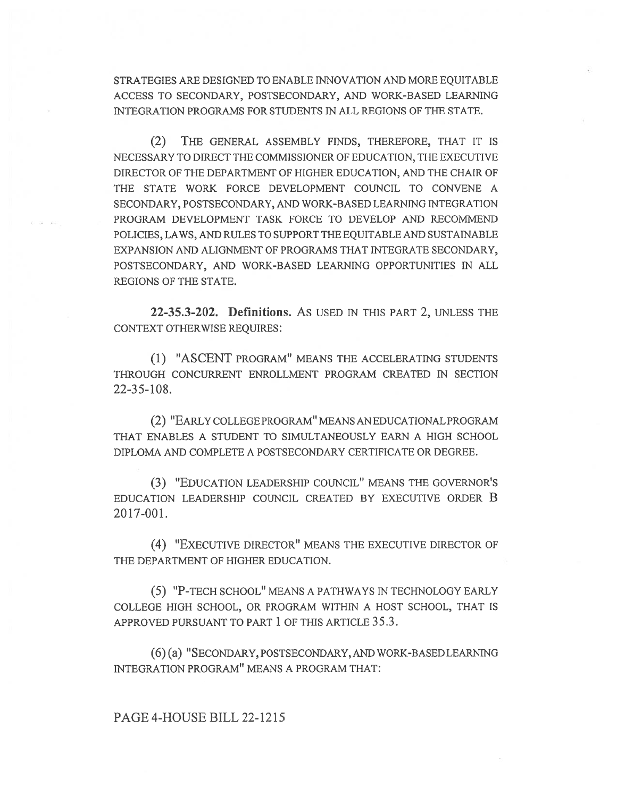STRATEGIES ARE DESIGNED TO ENABLE INNOVATION AND MORE EQUITABLE ACCESS TO SECONDARY, POSTSECONDARY, AND WORK-BASED LEARNING INTEGRATION PROGRAMS FOR STUDENTS IN ALL REGIONS OF THE STATE.

(2) THE GENERAL ASSEMBLY FINDS, THEREFORE, THAT IT IS NECESSARY TO DIRECT THE COMMISSIONER OF EDUCATION, THE EXECUTIVE DIRECTOR OF THE DEPARTMENT OF HIGHER EDUCATION, AND THE CHAIR OF THE STATE WORK FORCE DEVELOPMENT COUNCIL TO CONVENE A SECONDARY, POSTSECONDARY, AND WORK-BASED LEARNING INTEGRATION PROGRAM DEVELOPMENT TASK FORCE TO DEVELOP AND RECOMMEND POLICIES, LAWS, AND RULES TO SUPPORT THE EQUITABLE AND SUSTAINABLE EXPANSION AND ALIGNMENT OF PROGRAMS THAT INTEGRATE SECONDARY, POSTSECONDARY, AND WORK-BASED LEARNING OPPORTUNITIES IN ALL REGIONS OF THE STATE.

22-35.3-202. Definitions. AS USED IN THIS PART 2, UNLESS THE CONTEXT OTHERWISE REQUIRES:

(1) "ASCENT PROGRAM" MEANS THE ACCELERATING STUDENTS THROUGH CONCURRENT ENROLLMENT PROGRAM CREATED IN SECTION 22-35-108.

(2) "EARLY COLLEGE PROGRAM" MEANS AN EDUCATIONAL PROGRAM THAT ENABLES A STUDENT TO SIMULTANEOUSLY EARN A HIGH SCHOOL DIPLOMA AND COMPLETE A POSTSECONDARY CERTIFICATE OR DEGREE.

(3) "EDUCATION LEADERSHIP COUNCIL" MEANS THE GOVERNOR'S EDUCATION LEADERSHIP COUNCIL CREATED BY EXECUTIVE ORDER B 2017-001.

(4) "EXECUTIVE DIRECTOR" MEANS THE EXECUTIVE DIRECTOR OF THE DEPARTMENT OF HIGHER EDUCATION.

(5) "P-TECH SCHOOL" MEANS A PATHWAYS IN TECHNOLOGY EARLY COLLEGE HIGH SCHOOL, OR PROGRAM WITHIN A HOST SCHOOL, THAT IS APPROVED PURSUANT TO PART 1 OF THIS ARTICLE 35.3.

(6) (a) "SECONDARY, POSTSECONDARY, AND WORK-BASED LEARNING INTEGRATION PROGRAM" MEANS A PROGRAM THAT:

PAGE 4-HOUSE BILL 22-1215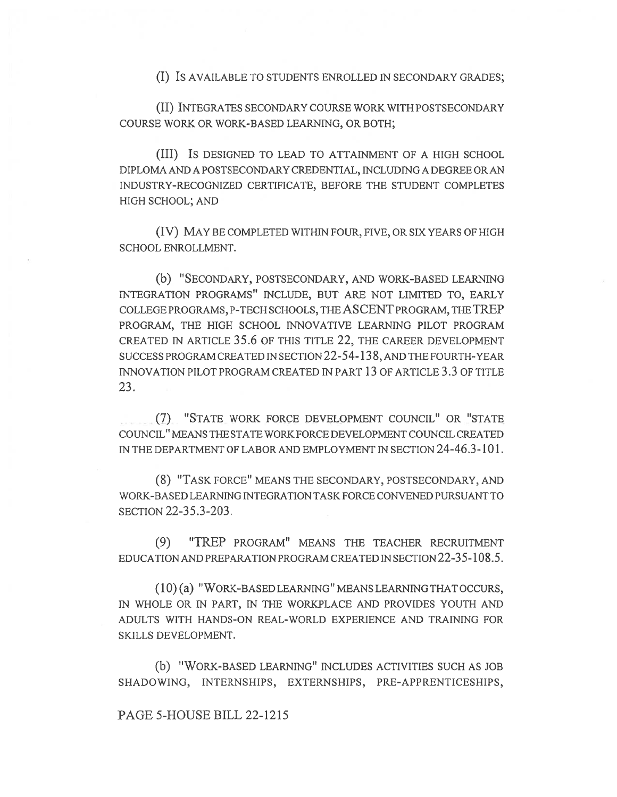(I) IS AVAILABLE TO STUDENTS ENROLLED IN SECONDARY GRADES;

(II) INTEGRATES SECONDARY COURSE WORK WITH POSTSECONDARY COURSE WORK OR WORK-BASED LEARNING, OR BOTH;

(III) IS DESIGNED TO LEAD TO ATTAINMENT OF A HIGH SCHOOL DIPLOMA AND A POSTSECONDARY CREDENTIAL, INCLUDING A DEGREE OR AN INDUSTRY-RECOGNIZED CERTIFICATE, BEFORE THE STUDENT COMPLETES HIGH SCHOOL; AND

(IV) MAY BE COMPLETED WITHIN FOUR, FIVE, OR SIX YEARS OF HIGH SCHOOL ENROLLMENT.

(b) "SECONDARY, POSTSECONDARY, AND WORK-BASED LEARNING INTEGRATION PROGRAMS" INCLUDE, BUT ARE NOT LIMITED TO, EARLY COLLEGE PROGRAMS, P-TECH SCHOOLS, THE ASCENT PROGRAM, THE TREP PROGRAM, THE HIGH SCHOOL INNOVATIVE LEARNING PILOT PROGRAM CREATED IN ARTICLE 35.6 OF THIS TITLE 22, THE CAREER DEVELOPMENT SUCCESS PROGRAM CREATED IN SECTION 22-54-138, AND THE FOURTH-YEAR INNOVATION PILOT PROGRAM CREATED IN PART 13 OF ARTICLE 3.3 OF TITLE 23.

(7) "STATE WORK FORCE DEVELOPMENT COUNCIL" OR "STATE COUNCIL" MEANS THE STATE WORKFORCE DEVELOPMENT COUNCIL CREATED IN THE DEPARTMENT OF LABOR AND EMPLOYMENT IN SECTION 24-46.3-101.

(8) "TASK FORCE" MEANS THE SECONDARY, POSTSECONDARY, AND WORK-BASED LEARNING INTEGRATION TASK FORCE CONVENED PURSUANT TO SECTION 22-35.3-203.

(9) "TREP PROGRAM" MEANS THE TEACHER RECRUITMENT EDUCATION AND PREPARATION PROGRAM CREATED IN SECTION 22-35-108.5.

(10) (a) "WORK-BASED LEARNING" MEANS LEARNING THAT OCCURS, IN WHOLE OR IN PART, IN THE WORKPLACE AND PROVIDES YOUTH AND ADULTS WITH HANDS-ON REAL-WORLD EXPERIENCE AND TRAINING FOR SKILLS DEVELOPMENT.

(b) "WORK-BASED LEARNING" INCLUDES ACTIVITIES SUCH AS JOB SHADOWING, INTERNSHIPS, EXTERNSHIPS, PRE-APPRENTICESHIPS,

## PAGE 5-HOUSE BILL 22-1215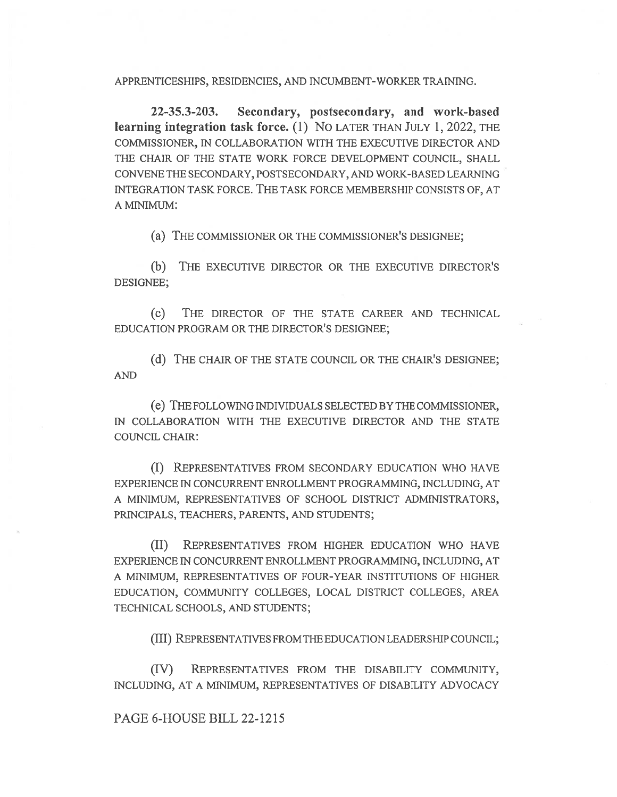APPRENTICESHIPS, RESIDENCIES, AND INCUMBENT-WORKER TRAINING.

22-35.3-203. Secondary, postsecondary, and work-based learning integration task force. (1) No LATER THAN JULY 1, 2022, THE COMMISSIONER, IN COLLABORATION WITH THE EXECUTIVE DIRECTOR AND THE CHAIR OF THE STATE WORK FORCE DEVELOPMENT COUNCIL, SHALL CONVENE THE SECONDARY, POSTSECONDARY, AND WORK-BASED LEARNING INTEGRATION TASK FORCE. THE TASK FORCE MEMBERSHIP CONSISTS OF, AT A MINIMUM:

(a) THE COMMISSIONER OR THE COMMISSIONER'S DESIGNEE;

(b) THE EXECUTIVE DIRECTOR OR THE EXECUTIVE DIRECTOR'S DESIGNEE;

(c) THE DIRECTOR OF THE STATE CAREER AND TECHNICAL EDUCATION PROGRAM OR THE DIRECTOR'S DESIGNEE;

(d) THE CHAIR OF THE STATE COUNCIL OR THE CHAIR'S DESIGNEE; AND

(e) THE FOLLOWING INDIVIDUALS SELECTED BY THE COMMISSIONER, IN COLLABORATION WITH THE EXECUTIVE DIRECTOR AND THE STATE COUNCIL CHAIR:

(I) REPRESENTATIVES FROM SECONDARY EDUCATION WHO HAVE EXPERIENCE IN CONCURRENT ENROLLMENT PROGRAMMING, INCLUDING, AT A MINIMUM, REPRESENTATIVES OF SCHOOL DISTRICT ADMINISTRATORS, PRINCIPALS, TEACHERS, PARENTS, AND STUDENTS;

(II) REPRESENTATIVES FROM HIGHER EDUCATION WHO HAVE EXPERIENCE IN CONCURRENT ENROLLMENT PROGRAMMING, INCLUDING, AT A MINIMUM, REPRESENTATIVES OF FOUR-YEAR INSTITUTIONS OF HIGHER EDUCATION, COMMUNITY COLLEGES, LOCAL DISTRICT COLLEGES, AREA TECHNICAL SCHOOLS, AND STUDENTS;

(III) REPRESENTATIVES FROM THE EDUCATION LEADERSHIP COUNCIL;

(IV) REPRESENTATIVES FROM THE DISABILITY COMMUNITY, INCLUDING, AT A MINIMUM, REPRESENTATIVES OF DISABILITY ADVOCACY

#### PAGE 6-HOUSE BILL 22-1215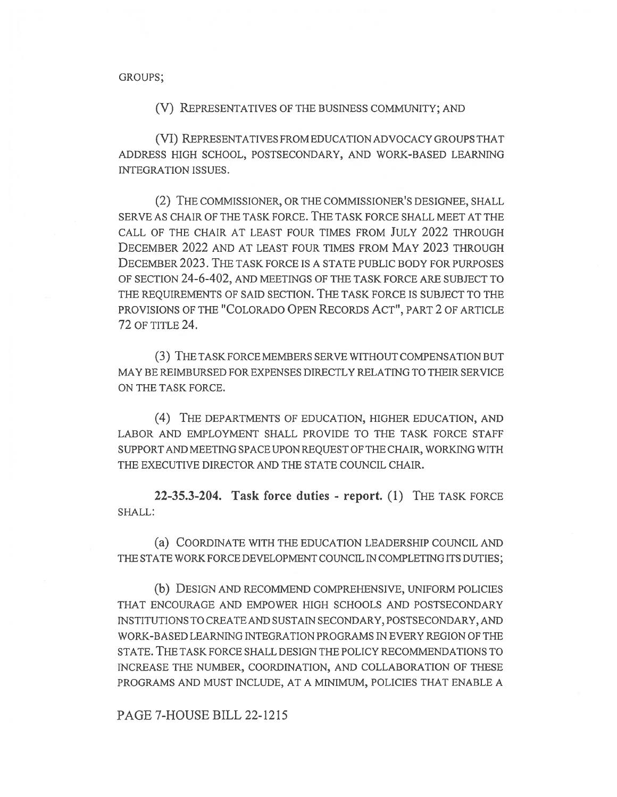GROUPS;

(V) REPRESENTATIVES OF THE BUSINESS COMMUNITY; AND

(VI) REPRESENTATIVES FROM EDUCATION ADVOCACY GROUPS THAT ADDRESS HIGH SCHOOL, POSTSECONDARY, AND WORK-BASED LEARNING INTEGRATION ISSUES.

(2) THE COMMISSIONER, OR THE COMMISSIONER'S DESIGNEE, SHALL SERVE AS CHAIR OF THE TASK FORCE. THE TASK FORCE SHALL MEET AT THE CALL OF THE CHAIR AT LEAST FOUR TIMES FROM JULY 2022 THROUGH DECEMBER 2022 AND AT LEAST FOUR TIMES FROM MAY 2023 THROUGH DECEMBER 2023. THE TASK FORCE IS A STATE PUBLIC BODY FOR PURPOSES OF SECTION 24-6-402, AND MEETINGS OF THE TASK FORCE ARE SUBJECT TO THE REQUIREMENTS OF SAID SECTION. THE TASK FORCE IS SUBJECT TO THE PROVISIONS OF THE "COLORADO OPEN RECORDS ACT", PART 2 OF ARTICLE 72 OF TITLE 24.

(3) THE TASK FORCE MEMBERS SERVE WITHOUT COMPENSATION BUT MAY BE REIMBURSED FOR EXPENSES DIRECTLY RELATING TO THEIR SERVICE ON THE TASK FORCE.

(4) THE DEPARTMENTS OF EDUCATION, HIGHER EDUCATION, AND LABOR AND EMPLOYMENT SHALL PROVIDE TO THE TASK FORCE STAFF SUPPORT AND MEETING SPACE UPON REQUEST OF THE CHAIR, WORKING WITH THE EXECUTIVE DIRECTOR AND THE STATE COUNCIL CHAIR.

22-35.3-204. Task force duties - report. (1) THE TASK FORCE SHALL:

(a) COORDINATE WITH THE EDUCATION LEADERSHIP COUNCIL AND THE STATE WORK FORCE DEVELOPMENT COUNCIL IN COMPLETING ITS DUTIES;

(b) DESIGN AND RECOMMEND COMPREHENSIVE, UNIFORM POLICIES THAT ENCOURAGE AND EMPOWER HIGH SCHOOLS AND POSTSECONDARY INSTITUTIONS TO CREATE AND SUSTAIN SECONDARY, POSTSECONDARY, AND WORK-BASED LEARNING INTEGRATION PROGRAMS IN EVERY REGION OF THE STATE. THE TASK FORCE SHALL DESIGN THE POLICY RECOMMENDATIONS TO INCREASE THE NUMBER, COORDINATION, AND COLLABORATION OF THESE PROGRAMS AND MUST INCLUDE, AT A MINIMUM, POLICIES THAT ENABLE A

PAGE 7-HOUSE BILL 22-1215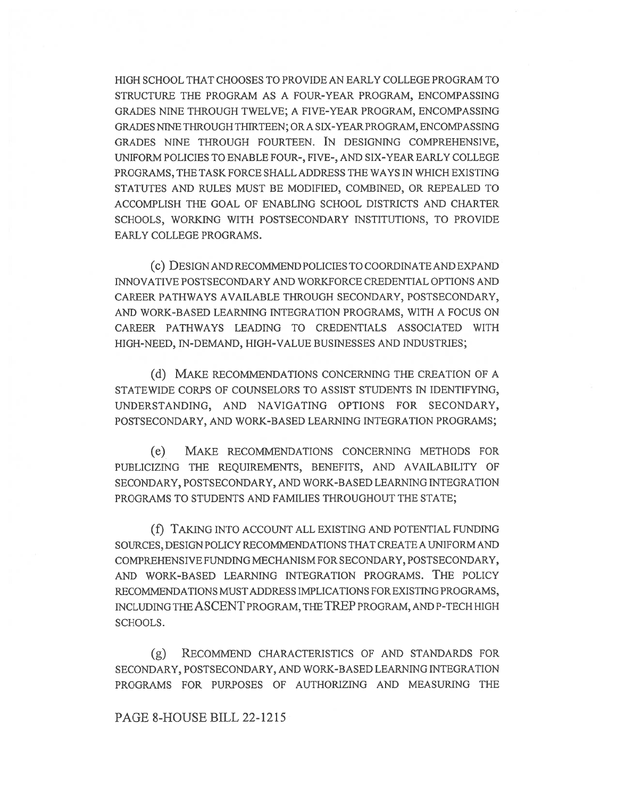HIGH SCHOOL THAT CHOOSES TO PROVIDE AN EARLY COLLEGE PROGRAM TO STRUCTURE THE PROGRAM AS A FOUR-YEAR PROGRAM, ENCOMPASSING GRADES NINE THROUGH TWELVE; A FIVE-YEAR PROGRAM, ENCOMPASSING GRADES NINE THROUGH THIRTEEN; OR A SIX-YEAR PROGRAM, ENCOMPASSING GRADES NINE THROUGH FOURTEEN. IN DESIGNING COMPREHENSIVE, UNIFORM POLICIES TO ENABLE FOUR-, FIVE-, AND SIX-YEAR EARLY COLLEGE PROGRAMS, THE TASK FORCE SHALL ADDRESS THE WAYS IN WHICH EXISTING STATUTES AND RULES MUST BE MODIFIED, COMBINED, OR REPEALED TO ACCOMPLISH THE GOAL OF ENABLING SCHOOL DISTRICTS AND CHARTER SCHOOLS, WORKING WITH POSTSECONDARY INSTITUTIONS, TO PROVIDE EARLY COLLEGE PROGRAMS.

(c) DESIGN AND RECOMMEND POLICIES TO COORDINATE AND EXPAND INNOVATIVE POSTSECONDARY AND WORKFORCE CREDENTIAL OPTIONS AND CAREER PATHWAYS AVAILABLE THROUGH SECONDARY, POSTSECONDARY, AND WORK-BASED LEARNING INTEGRATION PROGRAMS, WITH A FOCUS ON CAREER PATHWAYS LEADING TO CREDENTIALS ASSOCIATED WITH HIGH-NEED, IN-DEMAND, HIGH-VALUE BUSINESSES AND INDUSTRIES;

(d) MAKE RECOMMENDATIONS CONCERNING THE CREATION OF A STATEWIDE CORPS OF COUNSELORS TO ASSIST STUDENTS IN IDENTIFYING, UNDERSTANDING, AND NAVIGATING OPTIONS FOR SECONDARY, POSTSECONDARY, AND WORK-BASED LEARNING INTEGRATION PROGRAMS;

(e) MAKE RECOMMENDATIONS CONCERNING METHODS FOR PUBLICIZING THE REQUIREMENTS, BENEFITS, AND AVAILABILITY OF SECONDARY, POSTSECONDARY, AND WORK-BASED LEARNING INTEGRATION PROGRAMS TO STUDENTS AND FAMILIES THROUGHOUT THE STATE;

(f) TAKING INTO ACCOUNT ALL EXISTING AND POTENTIAL FUNDING SOURCES, DESIGN POLICY RECOMMENDATIONS THAT CREATE A UNIFORM AND COMPREHENSIVE FUNDING MECHANISM FOR SECONDARY, POSTSECONDARY, AND WORK-BASED LEARNING INTEGRATION PROGRAMS. THE POLICY RECOMMENDATIONS MUST ADDRESS IMPLICATIONS FOR EXISTING PROGRAMS, INCLUDING THE ASCENT PROGRAM, THE TREP PROGRAM, AND P-TECH HIGH SCHOOLS.

(g) RECOMMEND CHARACTERISTICS OF AND STANDARDS FOR SECONDARY, POSTSECONDARY, AND WORK-BASED LEARNING INTEGRATION PROGRAMS FOR PURPOSES OF AUTHORIZING AND MEASURING THE

#### PAGE 8-HOUSE BILL 22-1215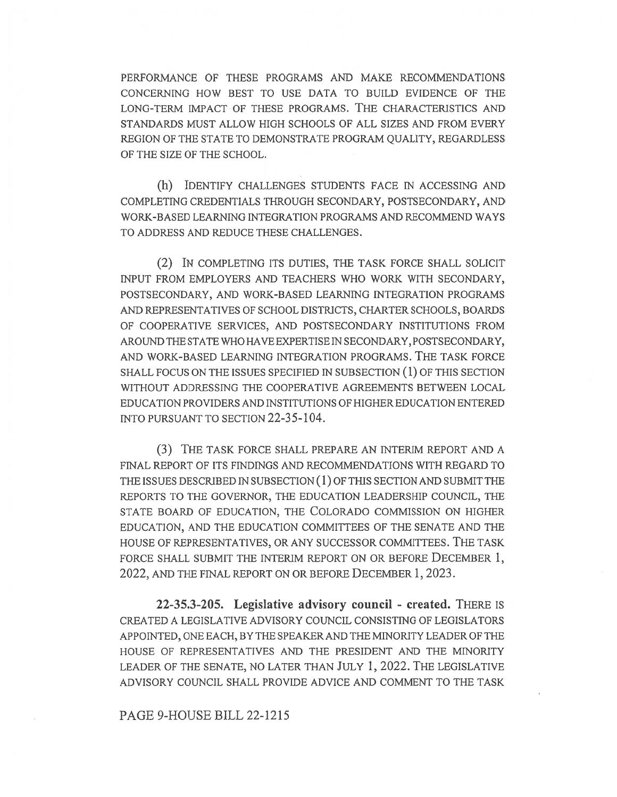PERFORMANCE OF THESE PROGRAMS AND MAKE RECOMMENDATIONS CONCERNING HOW BEST TO USE DATA TO BUILD EVIDENCE OF THE LONG-TERM IMPACT OF THESE PROGRAMS. THE CHARACTERISTICS AND STANDARDS MUST ALLOW HIGH SCHOOLS OF ALL SIZES AND FROM EVERY REGION OF THE STATE TO DEMONSTRATE PROGRAM QUALITY, REGARDLESS OF THE SIZE OF THE SCHOOL.

(h) IDENTIFY CHALLENGES STUDENTS FACE IN ACCESSING AND COMPLETING CREDENTIALS THROUGH SECONDARY, POSTSECONDARY, AND WORK-BASED LEARNING INTEGRATION PROGRAMS AND RECOMMEND WAYS TO ADDRESS AND REDUCE THESE CHALLENGES.

(2) IN COMPLETING ITS DUTIES, THE TASK FORCE SHALL SOLICIT INPUT FROM EMPLOYERS AND TEACHERS WHO WORK WITH SECONDARY, POSTSECONDARY, AND WORK-BASED LEARNING INTEGRATION PROGRAMS AND REPRESENTATIVES OF SCHOOL DISTRICTS, CHARTER SCHOOLS, BOARDS OF COOPERATIVE SERVICES, AND POSTSECONDARY INSTITUTIONS FROM AROUND THE STATE WHO HAVE EXPERTISE IN SECONDARY, POSTSECONDARY, AND WORK-BASED LEARNING INTEGRATION PROGRAMS. THE TASK FORCE SHALL FOCUS ON THE ISSUES SPECIFIED IN SUBSECTION (1) OF THIS SECTION WITHOUT ADDRESSING THE COOPERATIVE AGREEMENTS BETWEEN LOCAL EDUCATION PROVIDERS AND INSTITUTIONS OF HIGHER EDUCATION ENTERED INTO PURSUANT TO SECTION 22-35-104.

(3) THE TASK FORCE SHALL PREPARE AN INTERIM REPORT AND A FINAL REPORT OF ITS FINDINGS AND RECOMMENDATIONS WITH REGARD TO THE ISSUES DESCRIBED IN SUBSECTION (1) OF THIS SECTION AND SUBMIT THE REPORTS TO THE GOVERNOR, THE EDUCATION LEADERSHIP COUNCIL, THE STATE BOARD OF EDUCATION, THE COLORADO COMMISSION ON HIGHER EDUCATION, AND THE EDUCATION COMMITTEES OF THE SENATE AND THE HOUSE OF REPRESENTATIVES, OR ANY SUCCESSOR COMMITTEES. THE TASK FORCE SHALL SUBMIT THE INTERIM REPORT ON OR BEFORE DECEMBER 1, 2022, AND THE FINAL REPORT ON OR BEFORE DECEMBER 1, 2023.

22-35.3-205. Legislative advisory council - created. THERE IS CREATED A LEGISLATIVE ADVISORY COUNCIL CONSISTING OF LEGISLATORS APPOINTED, ONE EACH, BY THE SPEAKER AND THE MINORITY LEADER OF THE HOUSE OF REPRESENTATIVES AND THE PRESIDENT AND THE MINORITY LEADER OF THE SENATE, NO LATER THAN JULY 1, 2022. THE LEGISLATIVE ADVISORY COUNCIL SHALL PROVIDE ADVICE AND COMMENT TO THE TASK

PAGE 9-HOUSE BILL 22-1215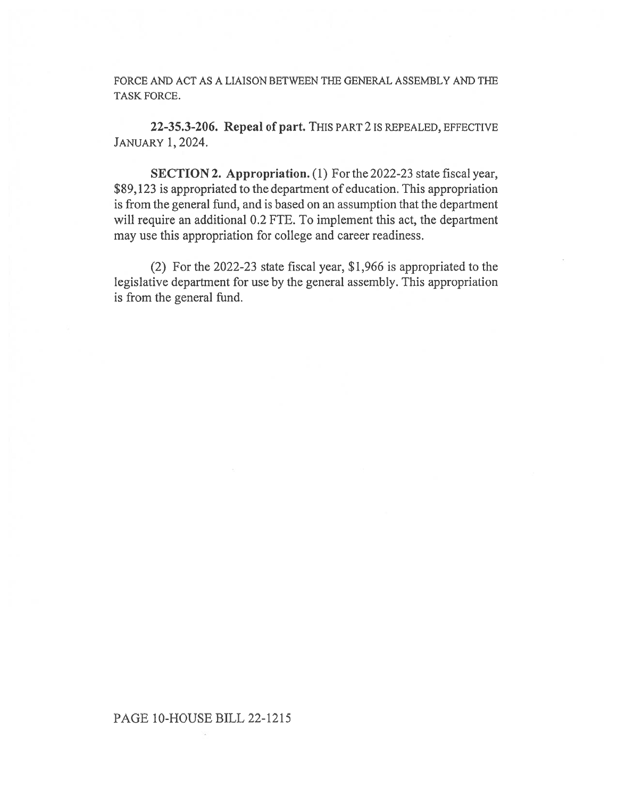FORCE AND ACT AS A LIAISON BETWEEN THE GENERAL ASSEMBLY AND THE TASK FORCE.

22-35.3-206. Repeal of part. THIS PART 2 IS REPEALED, EFFECTIVE JANUARY 1, 2024.

SECTION 2. Appropriation. (1) For the 2022-23 state fiscal year, \$89,123 is appropriated to the department of education. This appropriation is from the general fund, and is based on an assumption that the department will require an additional 0.2 FTE. To implement this act, the department may use this appropriation for college and career readiness.

(2) For the 2022-23 state fiscal year, \$1,966 is appropriated to the legislative department for use by the general assembly. This appropriation is from the general fund.

## PAGE 10-HOUSE BILL 22-1215